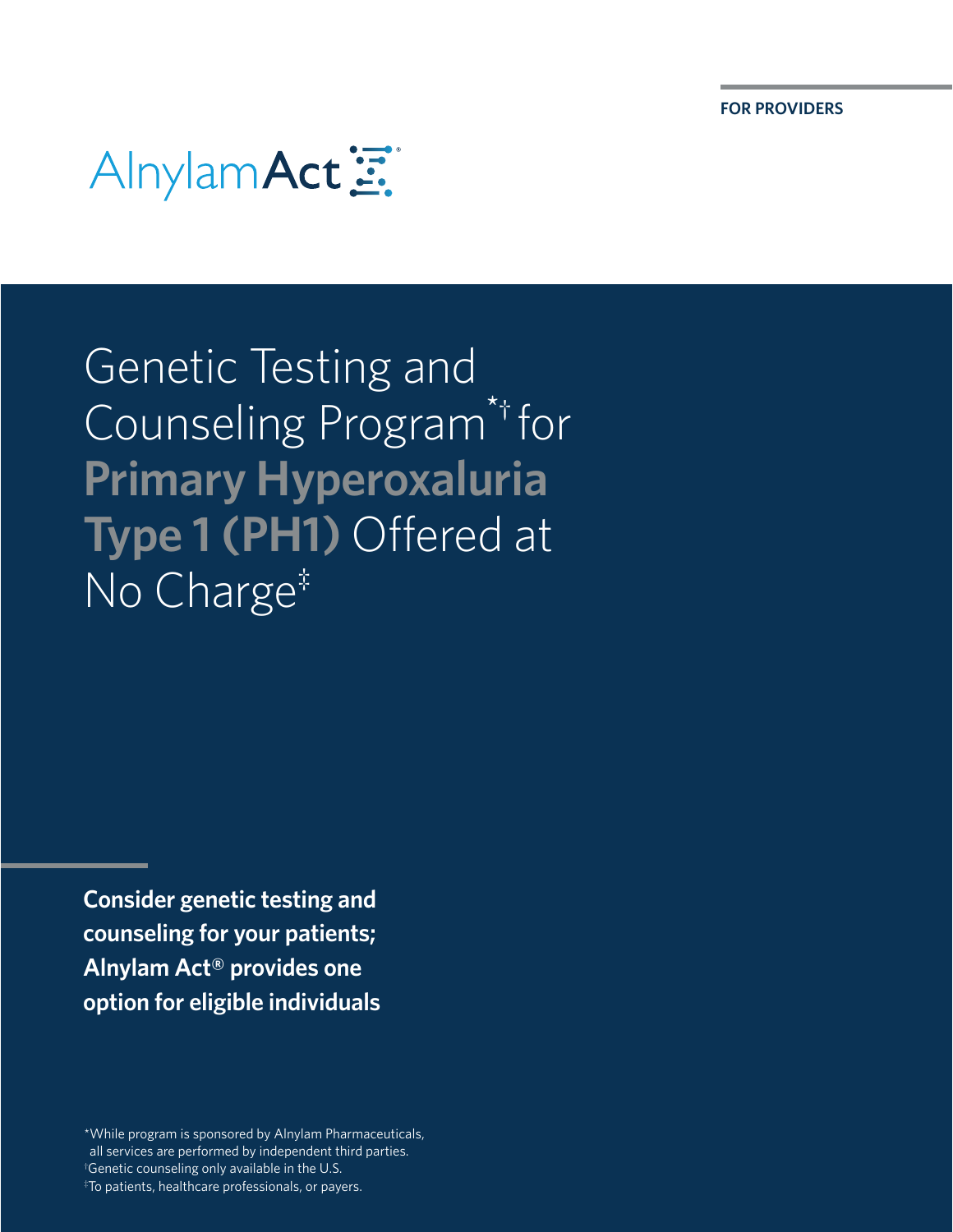

Genetic Testing and Counseling Program\*† for **Primary Hyperoxaluria Type 1 (PH1)** Offered at No Charge<sup>‡</sup>

**Consider genetic testing and counseling for your patients; Alnylam Act® provides one option for eligible individuals** 

\*While program is sponsored by Alnylam Pharmaceuticals, all services are performed by independent third parties. † Genetic counseling only available in the U.S. ‡ To patients, healthcare professionals, or payers.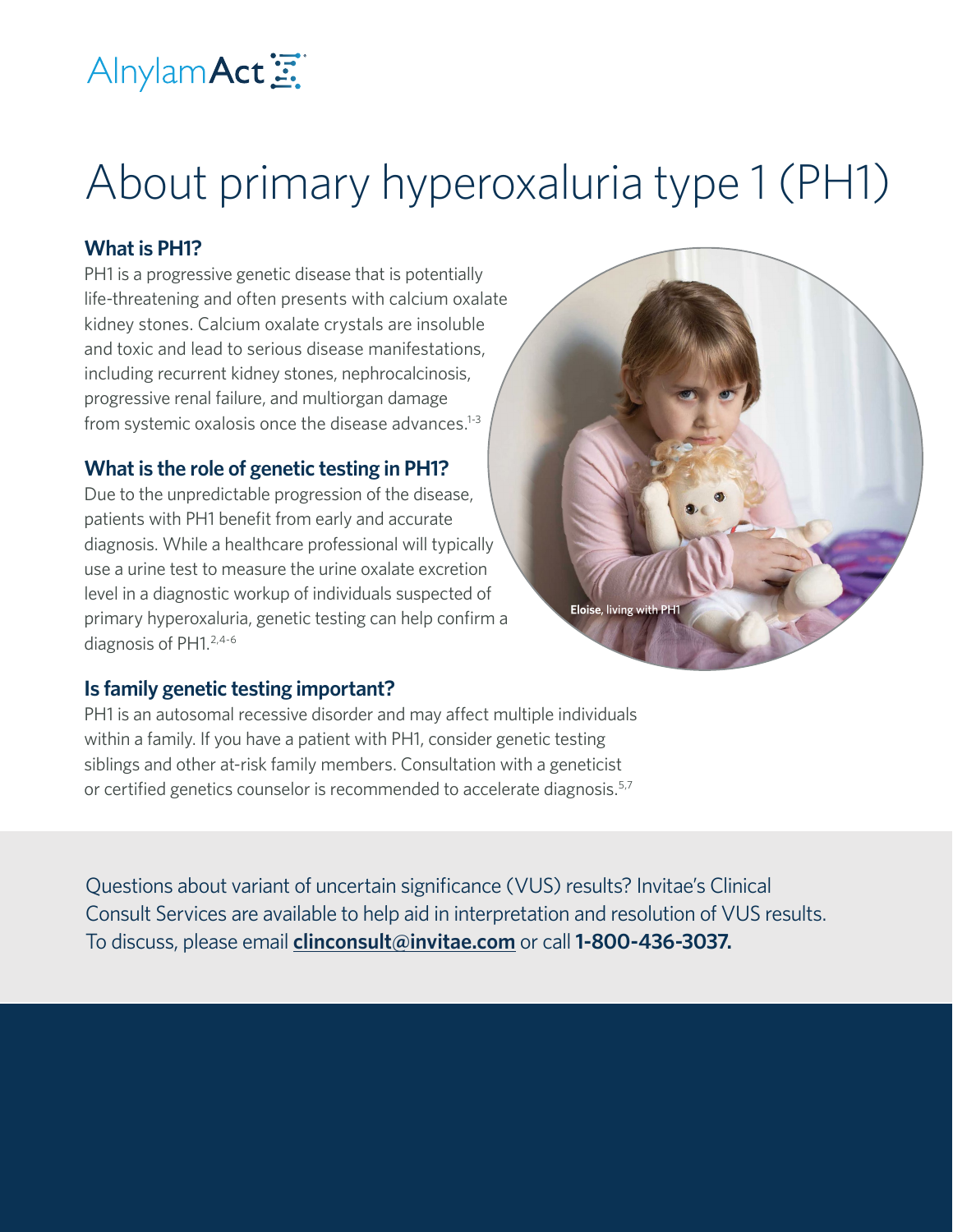

# About primary hyperoxaluria type 1 (PH1)

### **What is PH1?**

PH1 is a progressive genetic disease that is potentially life-threatening and often presents with calcium oxalate kidney stones. Calcium oxalate crystals are insoluble and toxic and lead to serious disease manifestations, including recurrent kidney stones, nephrocalcinosis, progressive renal failure, and multiorgan damage from systemic oxalosis once the disease advances. $1-3$ 

### **What is the role of genetic testing in PH1?**

Due to the unpredictable progression of the disease, patients with PH1 benefit from early and accurate diagnosis. While a healthcare professional will typically use a urine test to measure the urine oxalate excretion level in a diagnostic workup of individuals suspected of primary hyperoxaluria, genetic testing can help confirm a diagnosis of PH1.<sup>2,4-6</sup>



### **Is family genetic testing important?**

PH1 is an autosomal recessive disorder and may affect multiple individuals within a family. If you have a patient with PH1, consider genetic testing siblings and other at-risk family members. Consultation with a geneticist or certified genetics counselor is recommended to accelerate diagnosis.<sup>5,7</sup>

Questions about variant of uncertain significance (VUS) results? Invitae's Clinical Consult Services are available to help aid in interpretation and resolution of VUS results. To discuss, please email **[clinconsult@invitae.com](mailto:clinconsult%40invitae.com?subject=)** or call **1-800-436-3037.**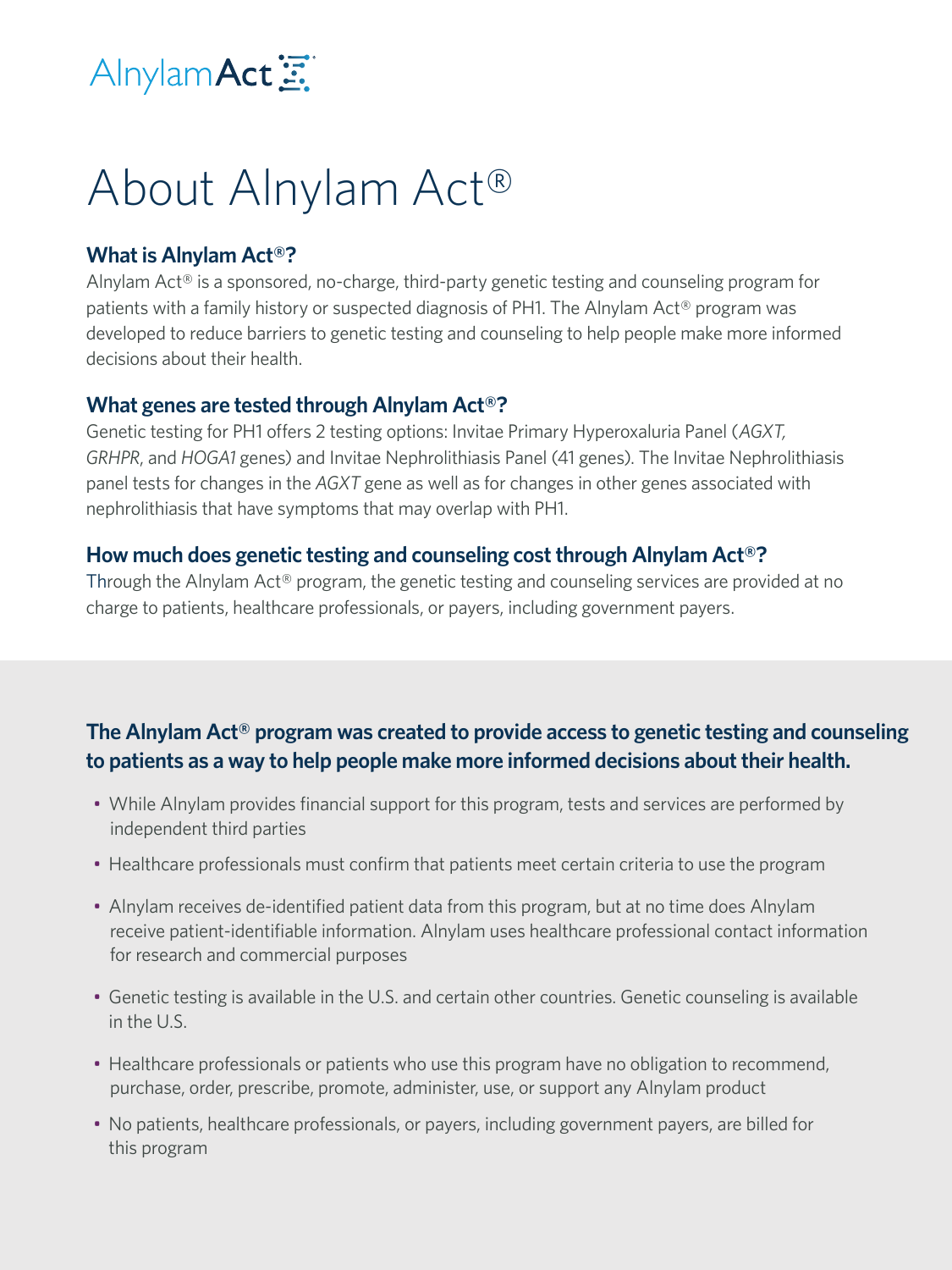

## About Alnylam Act®

### **What is Alnylam Act®?**

Alnylam Act® is a sponsored, no-charge, third-party genetic testing and counseling program for patients with a family history or suspected diagnosis of PH1. The Alnylam Act® program was developed to reduce barriers to genetic testing and counseling to help people make more informed decisions about their health.

### **What genes are tested through Alnylam Act®?**

Genetic testing for PH1 offers 2 testing options: Invitae Primary Hyperoxaluria Panel (*AGXT, GRHPR*, and *HOGA1* genes) and Invitae Nephrolithiasis Panel (41 genes). The Invitae Nephrolithiasis panel tests for changes in the *AGXT* gene as well as for changes in other genes associated with nephrolithiasis that have symptoms that may overlap with PH1.

### **How much does genetic testing and counseling cost through Alnylam Act®?**

Through the Alnylam Act® program, the genetic testing and counseling services are provided at no charge to patients, healthcare professionals, or payers, including government payers.

### **The Alnylam Act® program was created to provide access to genetic testing and counseling to patients as a way to help people make more informed decisions about their health.**

- While Alnylam provides financial support for this program, tests and services are performed by independent third parties
- Healthcare professionals must confirm that patients meet certain criteria to use the program
- Alnylam receives de-identified patient data from this program, but at no time does Alnylam receive patient-identifiable information. Alnylam uses healthcare professional contact information for research and commercial purposes
- Genetic testing is available in the U.S. and certain other countries. Genetic counseling is available in the U.S.
- Healthcare professionals or patients who use this program have no obligation to recommend, purchase, order, prescribe, promote, administer, use, or support any Alnylam product
- No patients, healthcare professionals, or payers, including government payers, are billed for this program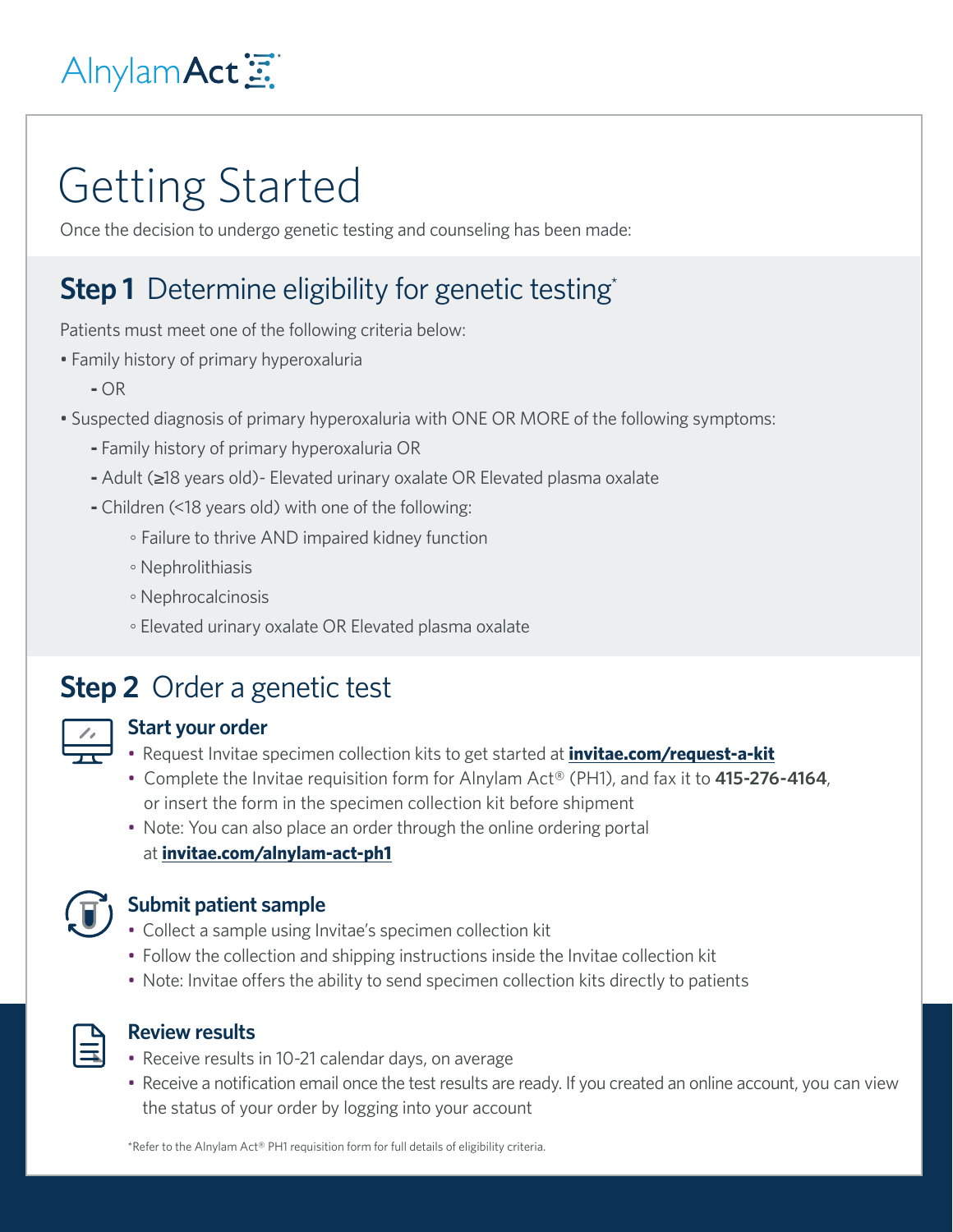## Alnylam Act 三

## Getting Started

Once the decision to undergo genetic testing and counseling has been made:

## **Step 1** Determine eligibility for genetic testing\*

Patients must meet one of the following criteria below:

- Family history of primary hyperoxaluria
	- **-** OR
- Suspected diagnosis of primary hyperoxaluria with ONE OR MORE of the following symptoms:
	- **-** Family history of primary hyperoxaluria OR
	- **-** Adult (≥18 years old)- Elevated urinary oxalate OR Elevated plasma oxalate
	- **-** Children (<18 years old) with one of the following:
		- Failure to thrive AND impaired kidney function
		- Nephrolithiasis
		- Nephrocalcinosis
		- Elevated urinary oxalate OR Elevated plasma oxalate

### **Step 2** Order a genetic test

### **Start your order**

- Request Invitae specimen collection kits to get started at **[invitae.com/request-a-kit](http://invitae.com/request-a-kit)**
- Complete the Invitae requisition form for Alnylam Act® (PH1), and fax it to **415-276-4164**, or insert the form in the specimen collection kit before shipment
- Note: You can also place an order through the online ordering portal at **[invitae.com/alnylam-act-ph1](http://invitae.com/alnylam-act-ph1)**



#### **Submit patient sample**

- Collect a sample using Invitae's specimen collection kit
- Follow the collection and shipping instructions inside the Invitae collection kit
- Note: Invitae offers the ability to send specimen collection kits directly to patients



#### **Review results**

- Receive results in 10-21 calendar days, on average
- Receive a notification email once the test results are ready. If you created an online account, you can view the status of your order by logging into your account

\*Refer to the Alnylam Act® PH1 requisition form for full details of eligibility criteria.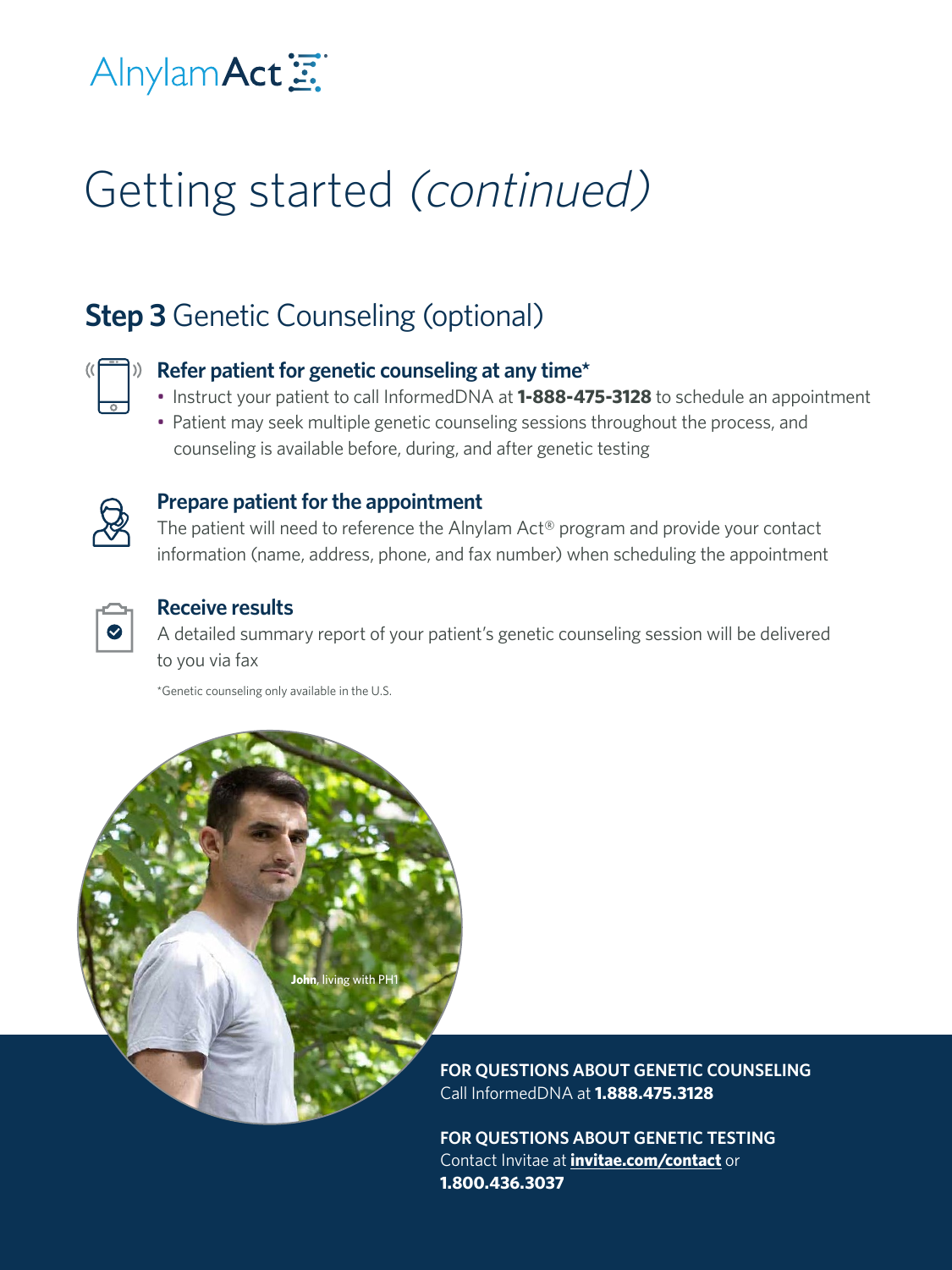## Alnylam Act

# Getting started (continued)

## **Step 3** Genetic Counseling (optional)



### **Refer patient for genetic counseling at any time\***

- Instruct your patient to call InformedDNA at **1-888-475-3128** to schedule an appointment
- Patient may seek multiple genetic counseling sessions throughout the process, and counseling is available before, during, and after genetic testing



### **Prepare patient for the appointment**

The patient will need to reference the Alnylam Act® program and provide your contact information (name, address, phone, and fax number) when scheduling the appointment



### **Receive results**

A detailed summary report of your patient's genetic counseling session will be delivered to you via fax

\*Genetic counseling only available in the U.S.

**John**, living with PH1

**FOR QUESTIONS ABOUT GENETIC COUNSELING** Call InformedDNA at **1.888.475.3128**

**FOR QUESTIONS ABOUT GENETIC TESTING** Contact Invitae at **[invitae.com/contact](http://invitae.com/contact)** or **1.800.436.3037**